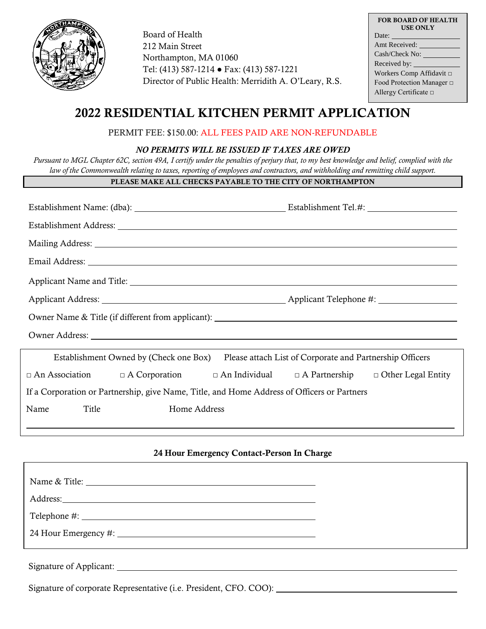

Board of Health 212 Main Street Northampton, MA 01060 Tel: (413) 587-1214 ● Fax: (413) 587-1221 Director of Public Health: Merridith A. O'Leary, R.S.

| <b>FOR BOARD OF HEALTH</b><br><b>USE ONLY</b> |  |  |
|-----------------------------------------------|--|--|
| Date:                                         |  |  |
| Amt Received: ______                          |  |  |
| Cash/Check No:                                |  |  |
| Received by:                                  |  |  |
| Workers Comp Affidavit □                      |  |  |
| Food Protection Manager $\Box$                |  |  |
| Allergy Certificate $\Box$                    |  |  |

# 2022 RESIDENTIAL KITCHEN PERMIT APPLICATION

## PERMIT FEE: \$150.00: ALL FEES PAID ARE NON-REFUNDABLE

### *NO PERMITS WILL BE ISSUED IF TAXES ARE OWED*

*Pursuant to MGL Chapter 62C, section 49A, I certify under the penalties of perjury that, to my best knowledge and belief, complied with the law of the Commonwealth relating to taxes, reporting of employees and contractors, and withholding and remitting child support.*

## PLEASE MAKE ALL CHECKS PAYABLE TO THE CITY OF NORTHAMPTON

| Applicant Name and Title: 1986. The Second Second Second Second Second Second Second Second Second Second Second Second Second Second Second Second Second Second Second Second Second Second Second Second Second Second Seco |  |  |  |
|--------------------------------------------------------------------------------------------------------------------------------------------------------------------------------------------------------------------------------|--|--|--|
|                                                                                                                                                                                                                                |  |  |  |
|                                                                                                                                                                                                                                |  |  |  |
| Owner Address: <u>New York: Address:</u> New York: 2008                                                                                                                                                                        |  |  |  |
| Establishment Owned by (Check one Box)<br>Please attach List of Corporate and Partnership Officers                                                                                                                             |  |  |  |
| $\Box$ An Association $\Box$ A Corporation $\Box$ An Individual $\Box$ A Partnership $\Box$ Other Legal Entity                                                                                                                 |  |  |  |
| If a Corporation or Partnership, give Name, Title, and Home Address of Officers or Partners                                                                                                                                    |  |  |  |
| Name<br>Title<br>Home Address                                                                                                                                                                                                  |  |  |  |

## 24 Hour Emergency Contact-Person In Charge

Signature of corporate Representative (i.e. President, CFO. COO):